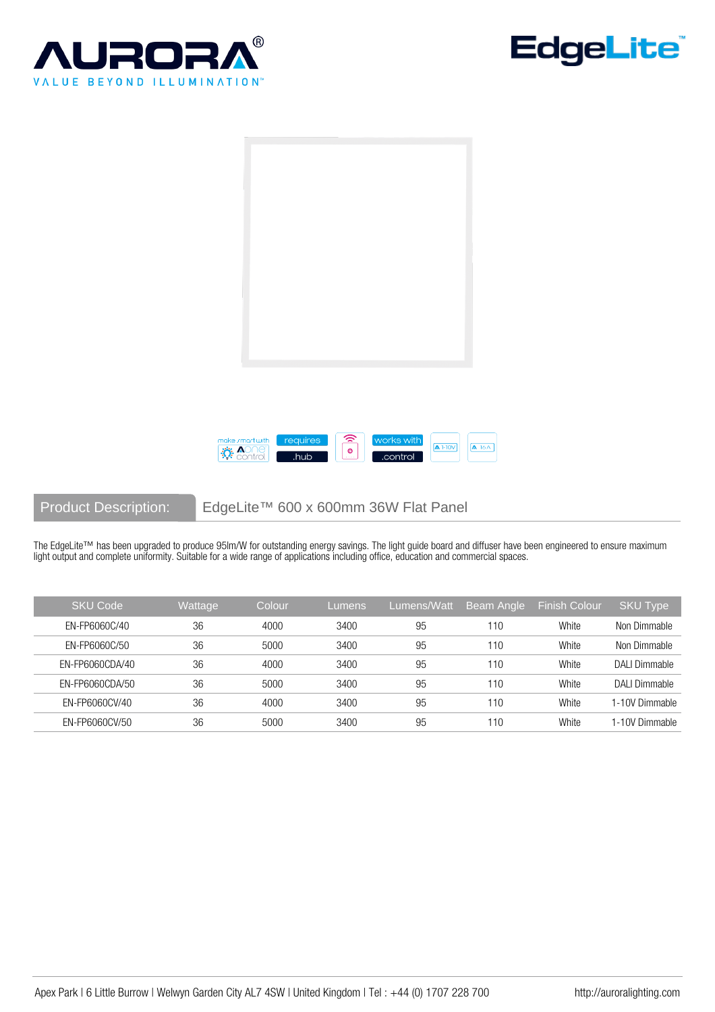







Product Description: EdgeLite™ 600 x 600mm 36W Flat Panel

The EdgeLite™ has been upgraded to produce 95lm/W for outstanding energy savings. The light guide board and diffuser have been engineered to ensure maximum light output and complete uniformity. Suitable for a wide range of applications including office, education and commercial spaces.

| <b>SKU Code</b> | Wattage | Colour | Lumens | Lumens/Watt | Beam Angle | <b>Finish Colour</b> | <b>SKU Type</b> |
|-----------------|---------|--------|--------|-------------|------------|----------------------|-----------------|
| EN-FP6060C/40   | 36      | 4000   | 3400   | 95          | 110        | White                | Non Dimmable    |
| EN-FP6060C/50   | 36      | 5000   | 3400   | 95          | 110        | White                | Non Dimmable    |
| EN-FP6060CDA/40 | 36      | 4000   | 3400   | 95          | 110        | White                | DALI Dimmable   |
| EN-FP6060CDA/50 | 36      | 5000   | 3400   | 95          | 110        | White                | DALI Dimmable   |
| EN-FP6060CV/40  | 36      | 4000   | 3400   | 95          | 110        | White                | 1-10V Dimmable  |
| EN-FP6060CV/50  | 36      | 5000   | 3400   | 95          | 110        | White                | -10V Dimmable   |